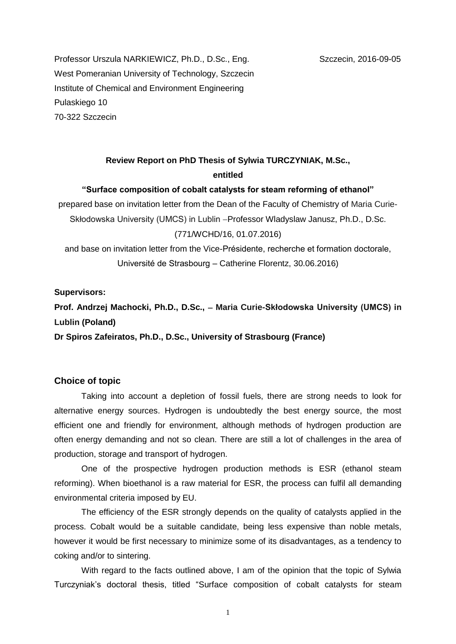Professor Urszula NARKIEWICZ, Ph.D., D.Sc., Eng. Szczecin, 2016-09-05 West Pomeranian University of Technology, Szczecin Institute of Chemical and Environment Engineering Pulaskiego 10 70-322 Szczecin

# **Review Report on PhD Thesis of Sylwia TURCZYNIAK, M.Sc., entitled**

### **"Surface composition of cobalt catalysts for steam reforming of ethanol"**

prepared base on invitation letter from the Dean of the Faculty of Chemistry of Maria Curie-Skłodowska University (UMCS) in Lublin - Professor Wladyslaw Janusz, Ph.D., D.Sc. (771/WCHD/16, 01.07.2016)

and base on invitation letter from the Vice-Présidente, recherche et formation doctorale, Université de Strasbourg – Catherine Florentz, 30.06.2016)

**Supervisors:** 

**Prof. Andrzej Machocki, Ph.D., D.Sc., Maria Curie-Skłodowska University (UMCS) in Lublin (Poland)**

**Dr Spiros Zafeiratos, Ph.D., D.Sc., University of Strasbourg (France)**

# **Choice of topic**

Taking into account a depletion of fossil fuels, there are strong needs to look for alternative energy sources. Hydrogen is undoubtedly the best energy source, the most efficient one and friendly for environment, although methods of hydrogen production are often energy demanding and not so clean. There are still a lot of challenges in the area of production, storage and transport of hydrogen.

One of the prospective hydrogen production methods is ESR (ethanol steam reforming). When bioethanol is a raw material for ESR, the process can fulfil all demanding environmental criteria imposed by EU.

The efficiency of the ESR strongly depends on the quality of catalysts applied in the process. Cobalt would be a suitable candidate, being less expensive than noble metals, however it would be first necessary to minimize some of its disadvantages, as a tendency to coking and/or to sintering.

With regard to the facts outlined above, I am of the opinion that the topic of Sylwia Turczyniak's doctoral thesis, titled "Surface composition of cobalt catalysts for steam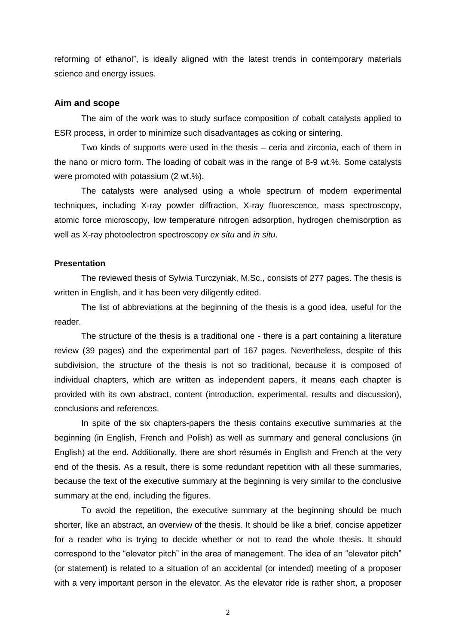reforming of ethanol", is ideally aligned with the latest trends in contemporary materials science and energy issues.

#### **Aim and scope**

The aim of the work was to study surface composition of cobalt catalysts applied to ESR process, in order to minimize such disadvantages as coking or sintering.

Two kinds of supports were used in the thesis – ceria and zirconia, each of them in the nano or micro form. The loading of cobalt was in the range of 8-9 wt.%. Some catalysts were promoted with potassium (2 wt.%).

The catalysts were analysed using a whole spectrum of modern experimental techniques, including X-ray powder diffraction, X-ray fluorescence, mass spectroscopy, atomic force microscopy, low temperature nitrogen adsorption, hydrogen chemisorption as well as X-ray photoelectron spectroscopy *ex situ* and *in situ*.

# **Presentation**

The reviewed thesis of Sylwia Turczyniak, M.Sc., consists of 277 pages. The thesis is written in English, and it has been very diligently edited.

The list of abbreviations at the beginning of the thesis is a good idea, useful for the reader.

The structure of the thesis is a traditional one - there is a part containing a literature review (39 pages) and the experimental part of 167 pages. Nevertheless, despite of this subdivision, the structure of the thesis is not so traditional, because it is composed of individual chapters, which are written as independent papers, it means each chapter is provided with its own abstract, content (introduction, experimental, results and discussion), conclusions and references.

In spite of the six chapters-papers the thesis contains executive summaries at the beginning (in English, French and Polish) as well as summary and general conclusions (in English) at the end. Additionally, there are short résumés in English and French at the very end of the thesis. As a result, there is some redundant repetition with all these summaries, because the text of the executive summary at the beginning is very similar to the conclusive summary at the end, including the figures.

To avoid the repetition, the executive summary at the beginning should be much shorter, like an abstract, an overview of the thesis. It should be like a brief, concise appetizer for a reader who is trying to decide whether or not to read the whole thesis. It should correspond to the "elevator pitch" in the area of management. The idea of an "elevator pitch" (or statement) is related to a situation of an accidental (or intended) meeting of a proposer with a very important person in the elevator. As the elevator ride is rather short, a proposer

2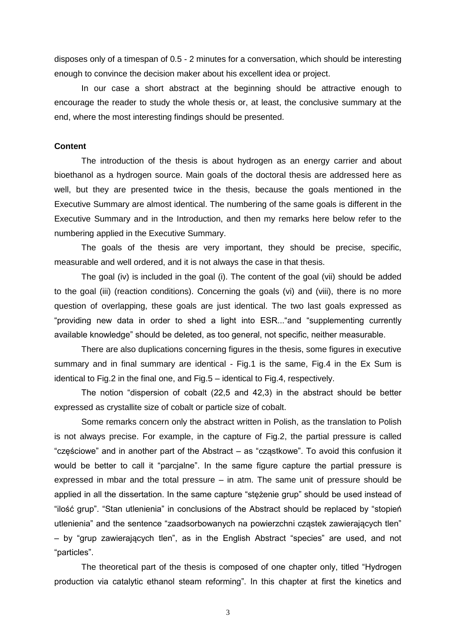disposes only of a timespan of 0.5 - 2 minutes for a conversation, which should be interesting enough to convince the decision maker about his excellent idea or project.

In our case a short abstract at the beginning should be attractive enough to encourage the reader to study the whole thesis or, at least, the conclusive summary at the end, where the most interesting findings should be presented.

## **Content**

The introduction of the thesis is about hydrogen as an energy carrier and about bioethanol as a hydrogen source. Main goals of the doctoral thesis are addressed here as well, but they are presented twice in the thesis, because the goals mentioned in the Executive Summary are almost identical. The numbering of the same goals is different in the Executive Summary and in the Introduction, and then my remarks here below refer to the numbering applied in the Executive Summary.

The goals of the thesis are very important, they should be precise, specific, measurable and well ordered, and it is not always the case in that thesis.

The goal (iv) is included in the goal (i). The content of the goal (vii) should be added to the goal (iii) (reaction conditions). Concerning the goals (vi) and (viii), there is no more question of overlapping, these goals are just identical. The two last goals expressed as "providing new data in order to shed a light into ESR..."and "supplementing currently available knowledge" should be deleted, as too general, not specific, neither measurable.

There are also duplications concerning figures in the thesis, some figures in executive summary and in final summary are identical - Fig.1 is the same, Fig.4 in the Ex Sum is identical to Fig.2 in the final one, and Fig.5 – identical to Fig.4, respectively.

The notion "dispersion of cobalt (22,5 and 42,3) in the abstract should be better expressed as crystallite size of cobalt or particle size of cobalt.

Some remarks concern only the abstract written in Polish, as the translation to Polish is not always precise. For example, in the capture of Fig.2, the partial pressure is called "częściowe" and in another part of the Abstract – as "cząstkowe". To avoid this confusion it would be better to call it "parcjalne". In the same figure capture the partial pressure is expressed in mbar and the total pressure – in atm. The same unit of pressure should be applied in all the dissertation. In the same capture "stężenie grup" should be used instead of "ilość grup". "Stan utlenienia" in conclusions of the Abstract should be replaced by "stopień utlenienia" and the sentence "zaadsorbowanych na powierzchni cząstek zawierających tlen" – by "grup zawierających tlen", as in the English Abstract "species" are used, and not "particles".

The theoretical part of the thesis is composed of one chapter only, titled "Hydrogen production via catalytic ethanol steam reforming". In this chapter at first the kinetics and

3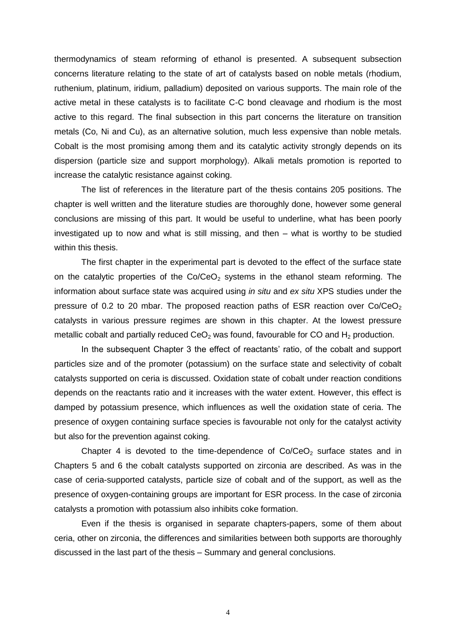thermodynamics of steam reforming of ethanol is presented. A subsequent subsection concerns literature relating to the state of art of catalysts based on noble metals (rhodium, ruthenium, platinum, iridium, palladium) deposited on various supports. The main role of the active metal in these catalysts is to facilitate C-C bond cleavage and rhodium is the most active to this regard. The final subsection in this part concerns the literature on transition metals (Co, Ni and Cu), as an alternative solution, much less expensive than noble metals. Cobalt is the most promising among them and its catalytic activity strongly depends on its dispersion (particle size and support morphology). Alkali metals promotion is reported to increase the catalytic resistance against coking.

The list of references in the literature part of the thesis contains 205 positions. The chapter is well written and the literature studies are thoroughly done, however some general conclusions are missing of this part. It would be useful to underline, what has been poorly investigated up to now and what is still missing, and then – what is worthy to be studied within this thesis.

The first chapter in the experimental part is devoted to the effect of the surface state on the catalytic properties of the  $Co/CeO<sub>2</sub>$  systems in the ethanol steam reforming. The information about surface state was acquired using *in situ* and *ex situ* XPS studies under the pressure of 0.2 to 20 mbar. The proposed reaction paths of ESR reaction over  $Co/CeO<sub>2</sub>$ catalysts in various pressure regimes are shown in this chapter. At the lowest pressure metallic cobalt and partially reduced  $CeO<sub>2</sub>$  was found, favourable for CO and H<sub>2</sub> production.

In the subsequent Chapter 3 the effect of reactants' ratio, of the cobalt and support particles size and of the promoter (potassium) on the surface state and selectivity of cobalt catalysts supported on ceria is discussed. Oxidation state of cobalt under reaction conditions depends on the reactants ratio and it increases with the water extent. However, this effect is damped by potassium presence, which influences as well the oxidation state of ceria. The presence of oxygen containing surface species is favourable not only for the catalyst activity but also for the prevention against coking.

Chapter 4 is devoted to the time-dependence of  $Co/CeO<sub>2</sub>$  surface states and in Chapters 5 and 6 the cobalt catalysts supported on zirconia are described. As was in the case of ceria-supported catalysts, particle size of cobalt and of the support, as well as the presence of oxygen-containing groups are important for ESR process. In the case of zirconia catalysts a promotion with potassium also inhibits coke formation.

Even if the thesis is organised in separate chapters-papers, some of them about ceria, other on zirconia, the differences and similarities between both supports are thoroughly discussed in the last part of the thesis – Summary and general conclusions.

4